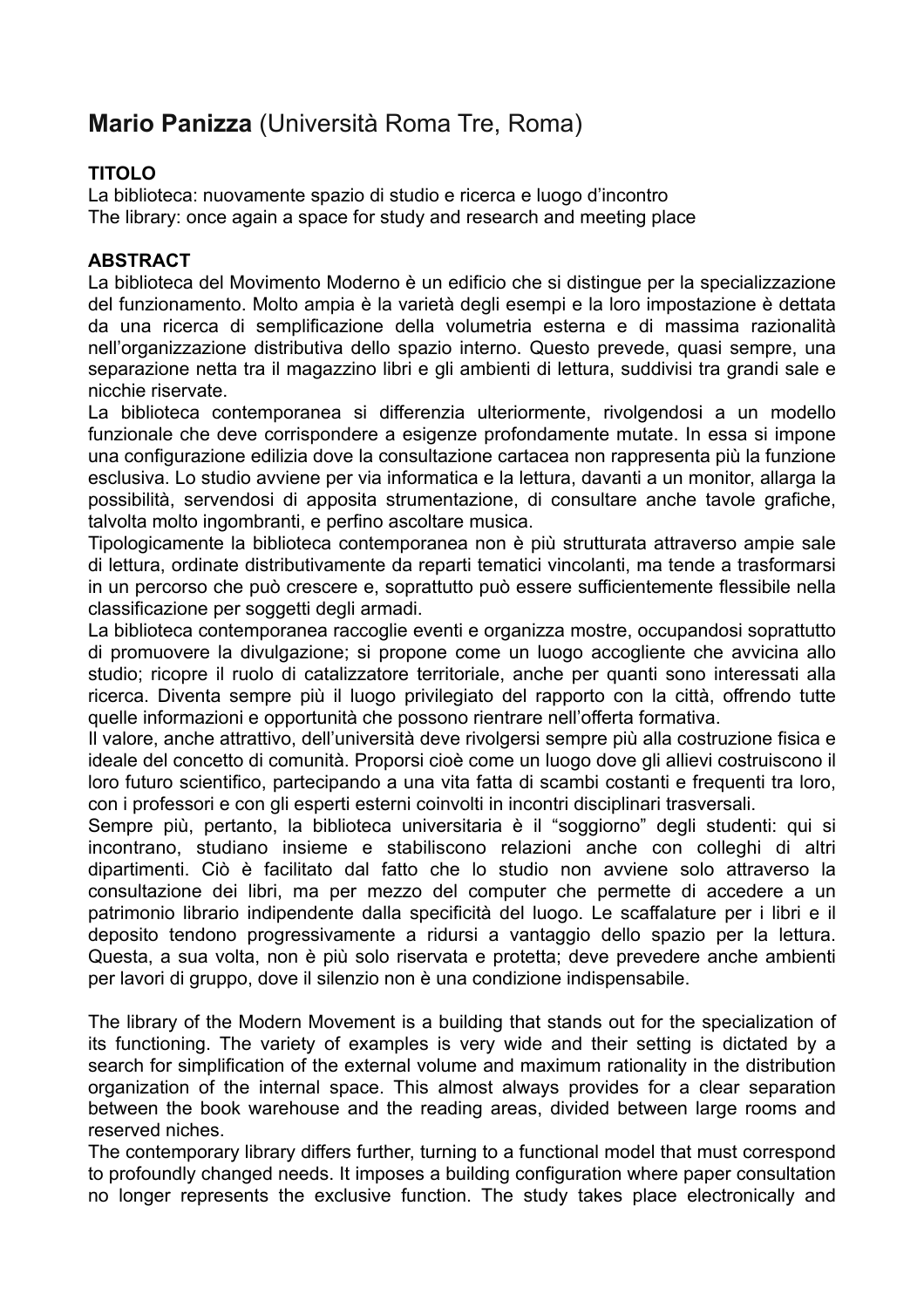## **Mario Panizza** (Università Roma Tre, Roma)

## **TITOLO**

La biblioteca: nuovamente spazio di studio e ricerca e luogo d'incontro The library: once again a space for study and research and meeting place

## **ABSTRACT**

La biblioteca del Movimento Moderno è un edificio che si distingue per la specializzazione del funzionamento. Molto ampia è la varietà degli esempi e la loro impostazione è dettata da una ricerca di semplificazione della volumetria esterna e di massima razionalità nell'organizzazione distributiva dello spazio interno. Questo prevede, quasi sempre, una separazione netta tra il magazzino libri e gli ambienti di lettura, suddivisi tra grandi sale e nicchie riservate.

La biblioteca contemporanea si differenzia ulteriormente, rivolgendosi a un modello funzionale che deve corrispondere a esigenze profondamente mutate. In essa si impone una configurazione edilizia dove la consultazione cartacea non rappresenta più la funzione esclusiva. Lo studio avviene per via informatica e la lettura, davanti a un monitor, allarga la possibilità, servendosi di apposita strumentazione, di consultare anche tavole grafiche, talvolta molto ingombranti, e perfino ascoltare musica.

Tipologicamente la biblioteca contemporanea non è più strutturata attraverso ampie sale di lettura, ordinate distributivamente da reparti tematici vincolanti, ma tende a trasformarsi in un percorso che può crescere e, soprattutto può essere sufficientemente flessibile nella classificazione per soggetti degli armadi.

La biblioteca contemporanea raccoglie eventi e organizza mostre, occupandosi soprattutto di promuovere la divulgazione; si propone come un luogo accogliente che avvicina allo studio; ricopre il ruolo di catalizzatore territoriale, anche per quanti sono interessati alla ricerca. Diventa sempre più il luogo privilegiato del rapporto con la città, offrendo tutte quelle informazioni e opportunità che possono rientrare nell'offerta formativa.

Il valore, anche attrattivo, dell'università deve rivolgersi sempre più alla costruzione fisica e ideale del concetto di comunità. Proporsi cioè come un luogo dove gli allievi costruiscono il loro futuro scientifico, partecipando a una vita fatta di scambi costanti e frequenti tra loro, con i professori e con gli esperti esterni coinvolti in incontri disciplinari trasversali.

Sempre più, pertanto, la biblioteca universitaria è il "soggiorno" degli studenti: qui si incontrano, studiano insieme e stabiliscono relazioni anche con colleghi di altri dipartimenti. Ciò è facilitato dal fatto che lo studio non avviene solo attraverso la consultazione dei libri, ma per mezzo del computer che permette di accedere a un patrimonio librario indipendente dalla specificità del luogo. Le scaffalature per i libri e il deposito tendono progressivamente a ridursi a vantaggio dello spazio per la lettura. Questa, a sua volta, non è più solo riservata e protetta; deve prevedere anche ambienti per lavori di gruppo, dove il silenzio non è una condizione indispensabile.

The library of the Modern Movement is a building that stands out for the specialization of its functioning. The variety of examples is very wide and their setting is dictated by a search for simplification of the external volume and maximum rationality in the distribution organization of the internal space. This almost always provides for a clear separation between the book warehouse and the reading areas, divided between large rooms and reserved niches.

The contemporary library differs further, turning to a functional model that must correspond to profoundly changed needs. It imposes a building configuration where paper consultation no longer represents the exclusive function. The study takes place electronically and